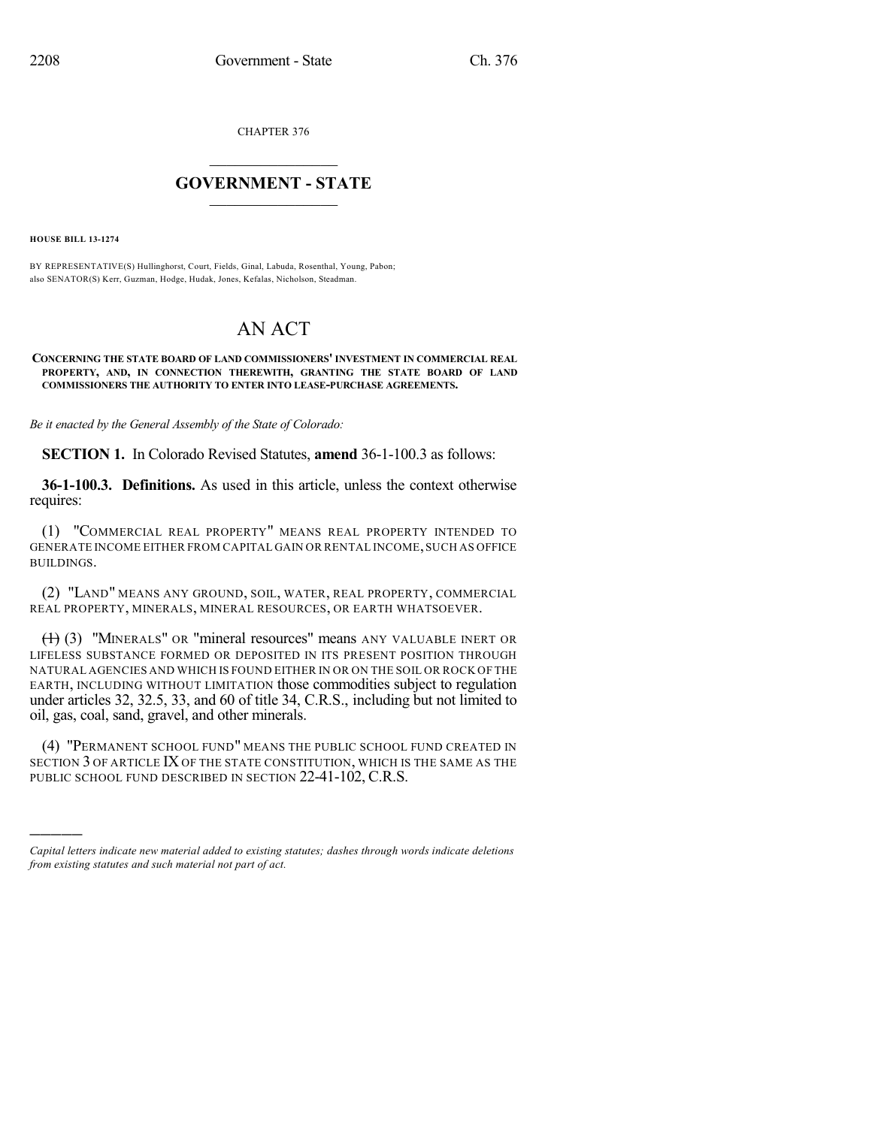CHAPTER 376

## $\mathcal{L}_\text{max}$  . The set of the set of the set of the set of the set of the set of the set of the set of the set of the set of the set of the set of the set of the set of the set of the set of the set of the set of the set **GOVERNMENT - STATE**  $\_$   $\_$   $\_$   $\_$   $\_$   $\_$   $\_$   $\_$

**HOUSE BILL 13-1274**

)))))

BY REPRESENTATIVE(S) Hullinghorst, Court, Fields, Ginal, Labuda, Rosenthal, Young, Pabon; also SENATOR(S) Kerr, Guzman, Hodge, Hudak, Jones, Kefalas, Nicholson, Steadman.

# AN ACT

#### **CONCERNING THE STATE BOARD OF LAND COMMISSIONERS' INVESTMENT IN COMMERCIAL REAL PROPERTY, AND, IN CONNECTION THEREWITH, GRANTING THE STATE BOARD OF LAND COMMISSIONERS THE AUTHORITY TO ENTER INTO LEASE-PURCHASE AGREEMENTS.**

*Be it enacted by the General Assembly of the State of Colorado:*

**SECTION 1.** In Colorado Revised Statutes, **amend** 36-1-100.3 as follows:

**36-1-100.3. Definitions.** As used in this article, unless the context otherwise requires:

(1) "COMMERCIAL REAL PROPERTY" MEANS REAL PROPERTY INTENDED TO GENERATE INCOME EITHER FROM CAPITAL GAIN OR RENTAL INCOME,SUCH AS OFFICE BUILDINGS.

(2) "LAND" MEANS ANY GROUND, SOIL, WATER, REAL PROPERTY, COMMERCIAL REAL PROPERTY, MINERALS, MINERAL RESOURCES, OR EARTH WHATSOEVER.

 $(1)$  (3) "MINERALS" OR "mineral resources" means ANY VALUABLE INERT OR LIFELESS SUBSTANCE FORMED OR DEPOSITED IN ITS PRESENT POSITION THROUGH NATURAL AGENCIES AND WHICH IS FOUND EITHER IN OR ON THE SOIL OR ROCK OF THE EARTH, INCLUDING WITHOUT LIMITATION those commodities subject to regulation under articles 32, 32.5, 33, and 60 of title 34, C.R.S., including but not limited to oil, gas, coal, sand, gravel, and other minerals.

(4) "PERMANENT SCHOOL FUND" MEANS THE PUBLIC SCHOOL FUND CREATED IN SECTION 3 OF ARTICLE IX OF THE STATE CONSTITUTION, WHICH IS THE SAME AS THE PUBLIC SCHOOL FUND DESCRIBED IN SECTION 22-41-102, C.R.S.

*Capital letters indicate new material added to existing statutes; dashes through words indicate deletions from existing statutes and such material not part of act.*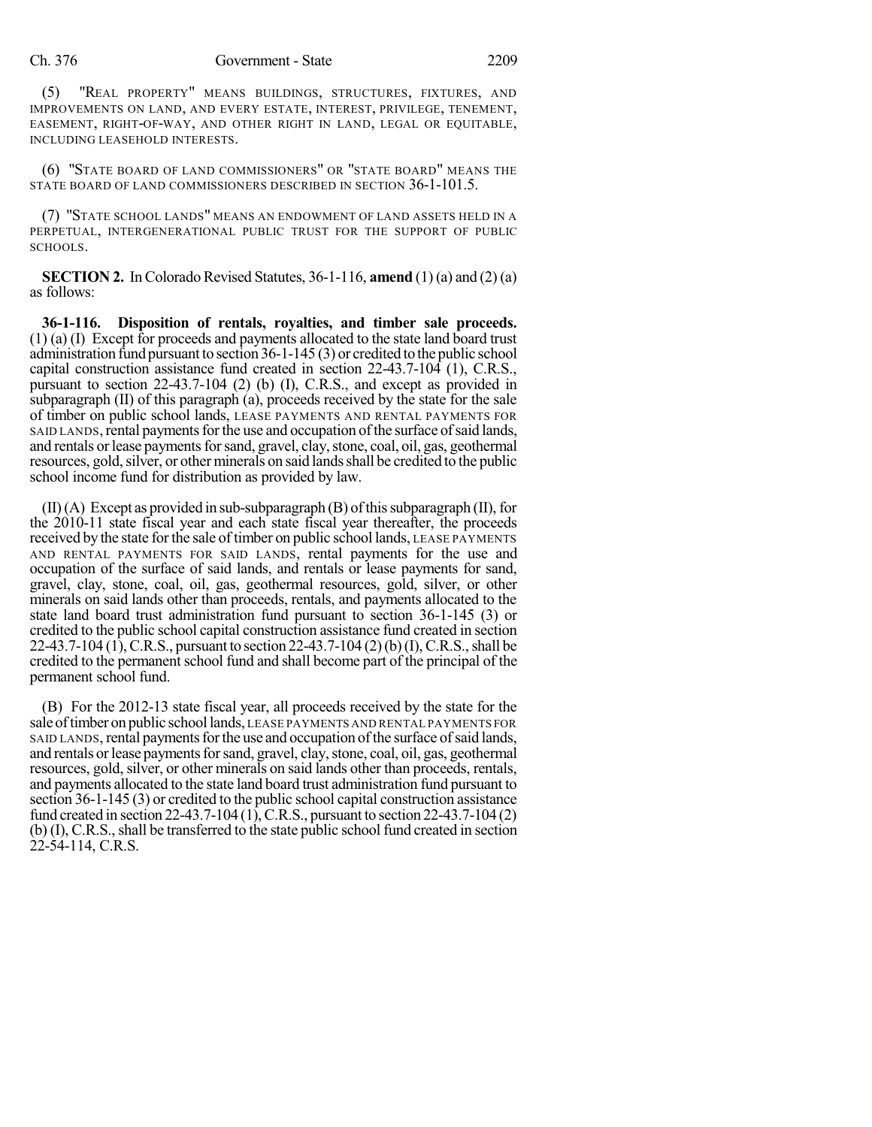(5) "REAL PROPERTY" MEANS BUILDINGS, STRUCTURES, FIXTURES, AND IMPROVEMENTS ON LAND, AND EVERY ESTATE, INTEREST, PRIVILEGE, TENEMENT, EASEMENT, RIGHT-OF-WAY, AND OTHER RIGHT IN LAND, LEGAL OR EQUITABLE, INCLUDING LEASEHOLD INTERESTS.

(6) "STATE BOARD OF LAND COMMISSIONERS" OR "STATE BOARD" MEANS THE STATE BOARD OF LAND COMMISSIONERS DESCRIBED IN SECTION 36-1-101.5.

(7) "STATE SCHOOL LANDS" MEANS AN ENDOWMENT OF LAND ASSETS HELD IN A PERPETUAL, INTERGENERATIONAL PUBLIC TRUST FOR THE SUPPORT OF PUBLIC SCHOOLS.

**SECTION 2.** In Colorado Revised Statutes,  $36-1-116$ , **amend** (1) (a) and (2) (a) as follows:

**36-1-116. Disposition of rentals, royalties, and timber sale proceeds.** (1) (a) (I) Except for proceeds and payments allocated to the state land board trust administration fund pursuant to section 36-1-145 (3) or credited to the public school capital construction assistance fund created in section 22-43.7-104 (1), C.R.S., pursuant to section 22-43.7-104 (2) (b) (I), C.R.S., and except as provided in subparagraph (II) of this paragraph (a), proceeds received by the state for the sale of timber on public school lands, LEASE PAYMENTS AND RENTAL PAYMENTS FOR SAID LANDS, rental payments for the use and occupation of the surface of said lands, and rentals or lease payments for sand, gravel, clay, stone, coal, oil, gas, geothermal resources, gold, silver, or other minerals on said lands shall be credited to the public school income fund for distribution as provided by law.

 $(II)(A)$  Except as provided in sub-subparagraph  $(B)$  of this subparagraph  $(II)$ , for the 2010-11 state fiscal year and each state fiscal year thereafter, the proceeds received by the state for the sale of timber on public school lands, LEASE PAYMENTS AND RENTAL PAYMENTS FOR SAID LANDS, rental payments for the use and occupation of the surface of said lands, and rentals or lease payments for sand, gravel, clay, stone, coal, oil, gas, geothermal resources, gold, silver, or other minerals on said lands other than proceeds, rentals, and payments allocated to the state land board trust administration fund pursuant to section 36-1-145 (3) or credited to the public school capital construction assistance fund created in section 22-43.7-104 (1), C.R.S., pursuant to section 22-43.7-104 (2) (b) (I), C.R.S., shall be credited to the permanent school fund and shall become part of the principal of the permanent school fund.

(B) For the 2012-13 state fiscal year, all proceeds received by the state for the sale of timber on public school lands, LEASE PAYMENTS AND RENTAL PAYMENTS FOR SAID LANDS, rental payments for the use and occupation of the surface of said lands, and rentals or lease payments for sand, gravel, clay, stone, coal, oil, gas, geothermal resources, gold, silver, or other minerals on said lands other than proceeds, rentals, and payments allocated to the state land board trust administration fund pursuant to section 36-1-145 (3) or credited to the public school capital construction assistance fund created in section 22-43.7-104 (1), C.R.S., pursuant to section 22-43.7-104 (2) (b) (I), C.R.S., shall be transferred to the state public school fund created in section 22-54-114, C.R.S.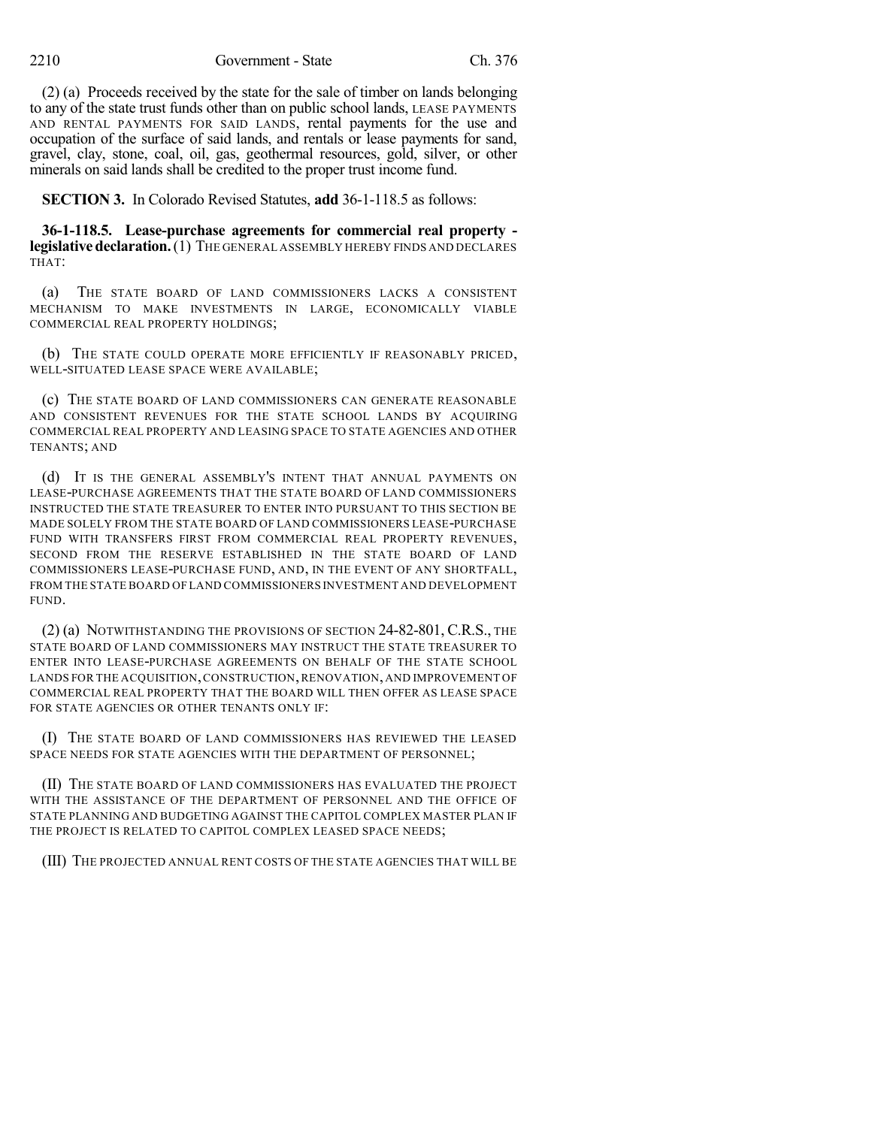(2) (a) Proceeds received by the state for the sale of timber on lands belonging to any of the state trust funds other than on public school lands, LEASE PAYMENTS AND RENTAL PAYMENTS FOR SAID LANDS, rental payments for the use and occupation of the surface of said lands, and rentals or lease payments for sand, gravel, clay, stone, coal, oil, gas, geothermal resources, gold, silver, or other minerals on said lands shall be credited to the proper trust income fund.

**SECTION 3.** In Colorado Revised Statutes, **add** 36-1-118.5 as follows:

**36-1-118.5. Lease-purchase agreements for commercial real property legislativedeclaration.**(1) THE GENERAL ASSEMBLY HEREBY FINDS AND DECLARES THAT:

(a) THE STATE BOARD OF LAND COMMISSIONERS LACKS A CONSISTENT MECHANISM TO MAKE INVESTMENTS IN LARGE, ECONOMICALLY VIABLE COMMERCIAL REAL PROPERTY HOLDINGS;

(b) THE STATE COULD OPERATE MORE EFFICIENTLY IF REASONABLY PRICED, WELL-SITUATED LEASE SPACE WERE AVAILABLE;

(c) THE STATE BOARD OF LAND COMMISSIONERS CAN GENERATE REASONABLE AND CONSISTENT REVENUES FOR THE STATE SCHOOL LANDS BY ACQUIRING COMMERCIAL REAL PROPERTY AND LEASING SPACE TO STATE AGENCIES AND OTHER TENANTS; AND

(d) IT IS THE GENERAL ASSEMBLY'S INTENT THAT ANNUAL PAYMENTS ON LEASE-PURCHASE AGREEMENTS THAT THE STATE BOARD OF LAND COMMISSIONERS INSTRUCTED THE STATE TREASURER TO ENTER INTO PURSUANT TO THIS SECTION BE MADE SOLELY FROM THE STATE BOARD OF LAND COMMISSIONERS LEASE-PURCHASE FUND WITH TRANSFERS FIRST FROM COMMERCIAL REAL PROPERTY REVENUES, SECOND FROM THE RESERVE ESTABLISHED IN THE STATE BOARD OF LAND COMMISSIONERS LEASE-PURCHASE FUND, AND, IN THE EVENT OF ANY SHORTFALL, FROM THE STATE BOARD OF LAND COMMISSIONERS INVESTMENT AND DEVELOPMENT FUND.

(2) (a) NOTWITHSTANDING THE PROVISIONS OF SECTION 24-82-801, C.R.S., THE STATE BOARD OF LAND COMMISSIONERS MAY INSTRUCT THE STATE TREASURER TO ENTER INTO LEASE-PURCHASE AGREEMENTS ON BEHALF OF THE STATE SCHOOL LANDS FOR THE ACQUISITION,CONSTRUCTION,RENOVATION,AND IMPROVEMENT OF COMMERCIAL REAL PROPERTY THAT THE BOARD WILL THEN OFFER AS LEASE SPACE FOR STATE AGENCIES OR OTHER TENANTS ONLY IF:

(I) THE STATE BOARD OF LAND COMMISSIONERS HAS REVIEWED THE LEASED SPACE NEEDS FOR STATE AGENCIES WITH THE DEPARTMENT OF PERSONNEL;

(II) THE STATE BOARD OF LAND COMMISSIONERS HAS EVALUATED THE PROJECT WITH THE ASSISTANCE OF THE DEPARTMENT OF PERSONNEL AND THE OFFICE OF STATE PLANNING AND BUDGETING AGAINST THE CAPITOL COMPLEX MASTER PLAN IF THE PROJECT IS RELATED TO CAPITOL COMPLEX LEASED SPACE NEEDS;

(III) THE PROJECTED ANNUAL RENT COSTS OF THE STATE AGENCIES THAT WILL BE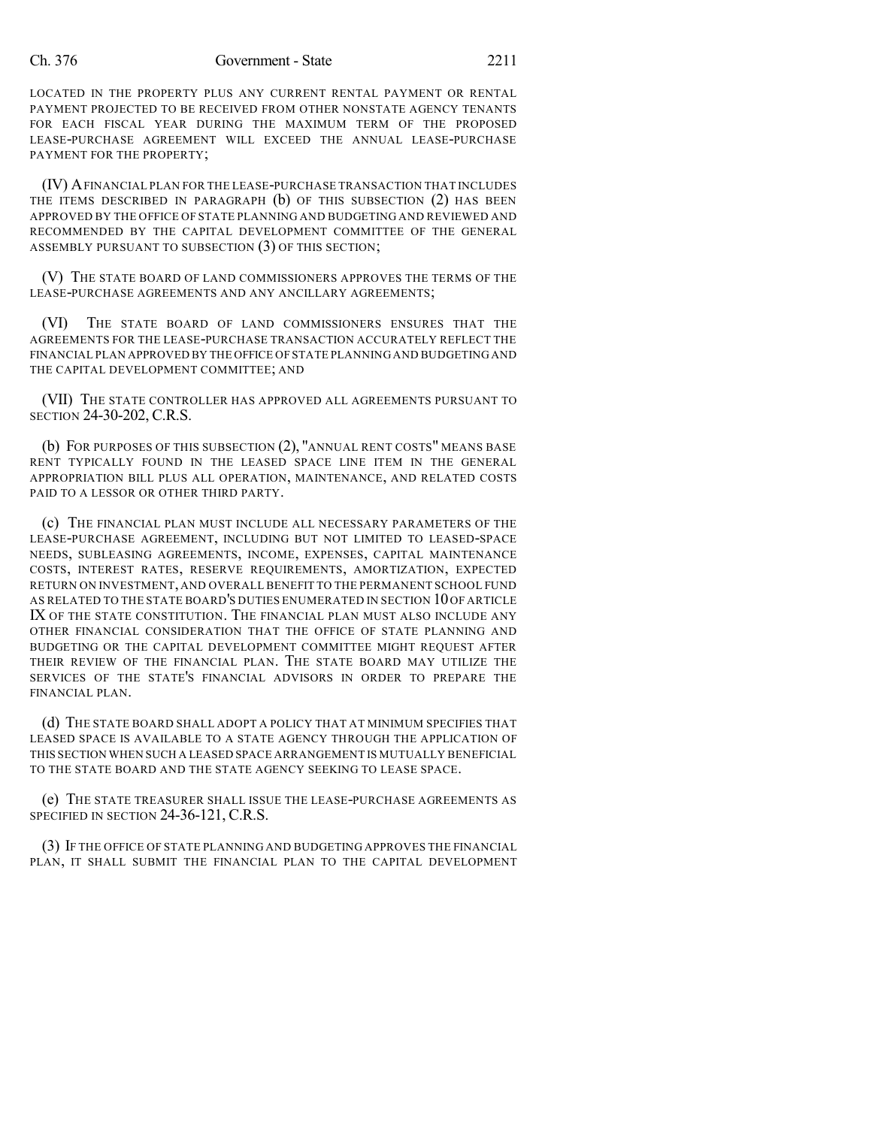#### Ch. 376 Government - State 2211

LOCATED IN THE PROPERTY PLUS ANY CURRENT RENTAL PAYMENT OR RENTAL PAYMENT PROJECTED TO BE RECEIVED FROM OTHER NONSTATE AGENCY TENANTS FOR EACH FISCAL YEAR DURING THE MAXIMUM TERM OF THE PROPOSED LEASE-PURCHASE AGREEMENT WILL EXCEED THE ANNUAL LEASE-PURCHASE PAYMENT FOR THE PROPERTY;

(IV) AFINANCIAL PLAN FOR THE LEASE-PURCHASE TRANSACTION THAT INCLUDES THE ITEMS DESCRIBED IN PARAGRAPH (b) OF THIS SUBSECTION (2) HAS BEEN APPROVED BY THE OFFICE OF STATE PLANNING AND BUDGETING AND REVIEWED AND RECOMMENDED BY THE CAPITAL DEVELOPMENT COMMITTEE OF THE GENERAL ASSEMBLY PURSUANT TO SUBSECTION (3) OF THIS SECTION;

(V) THE STATE BOARD OF LAND COMMISSIONERS APPROVES THE TERMS OF THE LEASE-PURCHASE AGREEMENTS AND ANY ANCILLARY AGREEMENTS;

(VI) THE STATE BOARD OF LAND COMMISSIONERS ENSURES THAT THE AGREEMENTS FOR THE LEASE-PURCHASE TRANSACTION ACCURATELY REFLECT THE FINANCIAL PLAN APPROVED BY THE OFFICE OF STATE PLANNING AND BUDGETING AND THE CAPITAL DEVELOPMENT COMMITTEE; AND

(VII) THE STATE CONTROLLER HAS APPROVED ALL AGREEMENTS PURSUANT TO SECTION 24-30-202, C.R.S.

(b) FOR PURPOSES OF THIS SUBSECTION (2), "ANNUAL RENT COSTS" MEANS BASE RENT TYPICALLY FOUND IN THE LEASED SPACE LINE ITEM IN THE GENERAL APPROPRIATION BILL PLUS ALL OPERATION, MAINTENANCE, AND RELATED COSTS PAID TO A LESSOR OR OTHER THIRD PARTY.

(c) THE FINANCIAL PLAN MUST INCLUDE ALL NECESSARY PARAMETERS OF THE LEASE-PURCHASE AGREEMENT, INCLUDING BUT NOT LIMITED TO LEASED-SPACE NEEDS, SUBLEASING AGREEMENTS, INCOME, EXPENSES, CAPITAL MAINTENANCE COSTS, INTEREST RATES, RESERVE REQUIREMENTS, AMORTIZATION, EXPECTED RETURN ON INVESTMENT, AND OVERALL BENEFIT TO THE PERMANENT SCHOOL FUND AS RELATED TO THE STATE BOARD'S DUTIES ENUMERATED IN SECTION 10OF ARTICLE IX OF THE STATE CONSTITUTION. THE FINANCIAL PLAN MUST ALSO INCLUDE ANY OTHER FINANCIAL CONSIDERATION THAT THE OFFICE OF STATE PLANNING AND BUDGETING OR THE CAPITAL DEVELOPMENT COMMITTEE MIGHT REQUEST AFTER THEIR REVIEW OF THE FINANCIAL PLAN. THE STATE BOARD MAY UTILIZE THE SERVICES OF THE STATE'S FINANCIAL ADVISORS IN ORDER TO PREPARE THE FINANCIAL PLAN.

(d) THE STATE BOARD SHALL ADOPT A POLICY THAT AT MINIMUM SPECIFIES THAT LEASED SPACE IS AVAILABLE TO A STATE AGENCY THROUGH THE APPLICATION OF THIS SECTION WHEN SUCH A LEASED SPACE ARRANGEMENT IS MUTUALLY BENEFICIAL TO THE STATE BOARD AND THE STATE AGENCY SEEKING TO LEASE SPACE.

(e) THE STATE TREASURER SHALL ISSUE THE LEASE-PURCHASE AGREEMENTS AS SPECIFIED IN SECTION 24-36-121, C.R.S.

(3) IF THE OFFICE OF STATE PLANNING AND BUDGETING APPROVES THE FINANCIAL PLAN, IT SHALL SUBMIT THE FINANCIAL PLAN TO THE CAPITAL DEVELOPMENT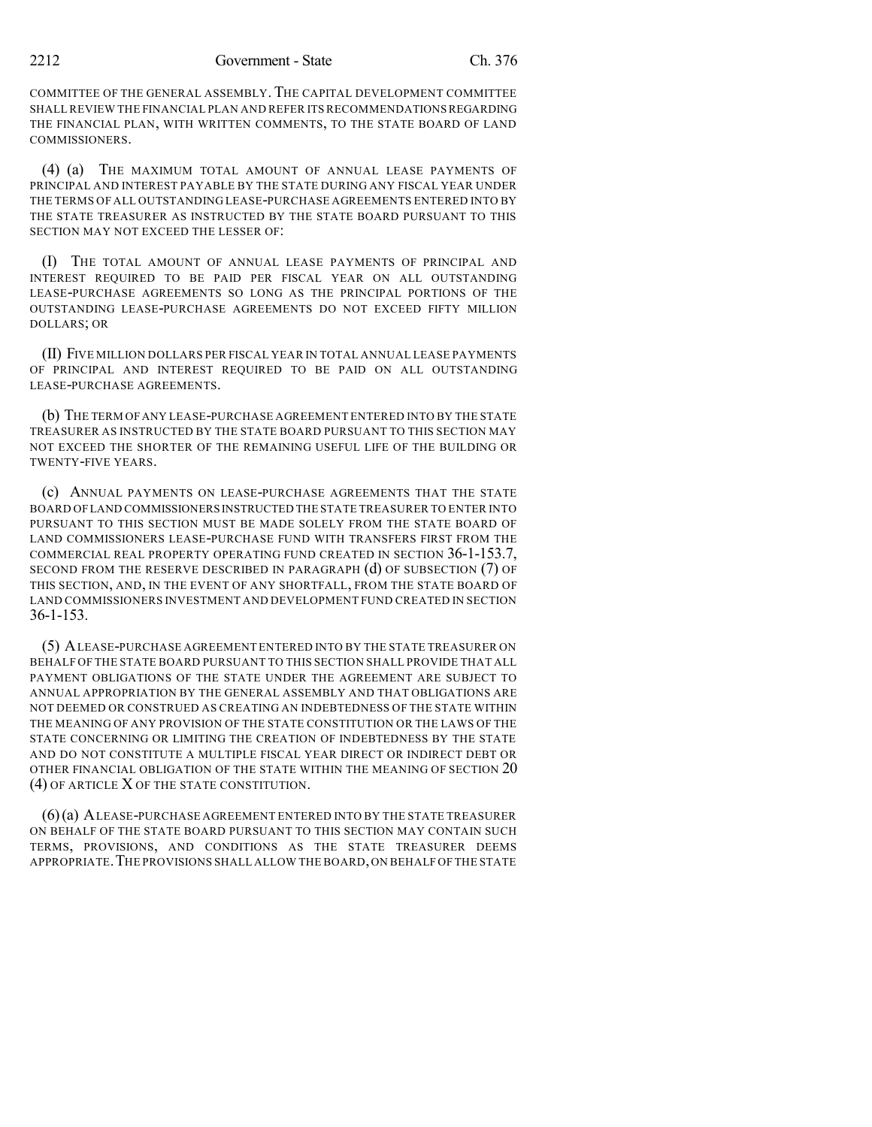COMMITTEE OF THE GENERAL ASSEMBLY.THE CAPITAL DEVELOPMENT COMMITTEE SHALL REVIEW THE FINANCIAL PLAN AND REFER ITS RECOMMENDATIONSREGARDING THE FINANCIAL PLAN, WITH WRITTEN COMMENTS, TO THE STATE BOARD OF LAND COMMISSIONERS.

(4) (a) THE MAXIMUM TOTAL AMOUNT OF ANNUAL LEASE PAYMENTS OF PRINCIPAL AND INTEREST PAYABLE BY THE STATE DURING ANY FISCAL YEAR UNDER THE TERMS OF ALL OUTSTANDING LEASE-PURCHASE AGREEMENTS ENTERED INTO BY THE STATE TREASURER AS INSTRUCTED BY THE STATE BOARD PURSUANT TO THIS SECTION MAY NOT EXCEED THE LESSER OF:

(I) THE TOTAL AMOUNT OF ANNUAL LEASE PAYMENTS OF PRINCIPAL AND INTEREST REQUIRED TO BE PAID PER FISCAL YEAR ON ALL OUTSTANDING LEASE-PURCHASE AGREEMENTS SO LONG AS THE PRINCIPAL PORTIONS OF THE OUTSTANDING LEASE-PURCHASE AGREEMENTS DO NOT EXCEED FIFTY MILLION DOLLARS; OR

(II) FIVE MILLION DOLLARS PER FISCAL YEAR IN TOTAL ANNUAL LEASE PAYMENTS OF PRINCIPAL AND INTEREST REQUIRED TO BE PAID ON ALL OUTSTANDING LEASE-PURCHASE AGREEMENTS.

(b) THE TERM OFANY LEASE-PURCHASE AGREEMENT ENTERED INTO BY THE STATE TREASURER AS INSTRUCTED BY THE STATE BOARD PURSUANT TO THIS SECTION MAY NOT EXCEED THE SHORTER OF THE REMAINING USEFUL LIFE OF THE BUILDING OR TWENTY-FIVE YEARS.

(c) ANNUAL PAYMENTS ON LEASE-PURCHASE AGREEMENTS THAT THE STATE BOARD OFLAND COMMISSIONERS INSTRUCTED THE STATE TREASURER TO ENTER INTO PURSUANT TO THIS SECTION MUST BE MADE SOLELY FROM THE STATE BOARD OF LAND COMMISSIONERS LEASE-PURCHASE FUND WITH TRANSFERS FIRST FROM THE COMMERCIAL REAL PROPERTY OPERATING FUND CREATED IN SECTION 36-1-153.7, SECOND FROM THE RESERVE DESCRIBED IN PARAGRAPH (d) OF SUBSECTION (7) OF THIS SECTION, AND, IN THE EVENT OF ANY SHORTFALL, FROM THE STATE BOARD OF LAND COMMISSIONERS INVESTMENT AND DEVELOPMENT FUND CREATED IN SECTION 36-1-153.

(5) ALEASE-PURCHASE AGREEMENT ENTERED INTO BY THE STATE TREASURER ON BEHALF OF THE STATE BOARD PURSUANT TO THIS SECTION SHALL PROVIDE THAT ALL PAYMENT OBLIGATIONS OF THE STATE UNDER THE AGREEMENT ARE SUBJECT TO ANNUAL APPROPRIATION BY THE GENERAL ASSEMBLY AND THAT OBLIGATIONS ARE NOT DEEMED OR CONSTRUED AS CREATING AN INDEBTEDNESS OF THE STATE WITHIN THE MEANING OF ANY PROVISION OF THE STATE CONSTITUTION OR THE LAWS OF THE STATE CONCERNING OR LIMITING THE CREATION OF INDEBTEDNESS BY THE STATE AND DO NOT CONSTITUTE A MULTIPLE FISCAL YEAR DIRECT OR INDIRECT DEBT OR OTHER FINANCIAL OBLIGATION OF THE STATE WITHIN THE MEANING OF SECTION 20 (4) OF ARTICLE X OF THE STATE CONSTITUTION.

(6)(a) ALEASE-PURCHASE AGREEMENT ENTERED INTO BY THE STATE TREASURER ON BEHALF OF THE STATE BOARD PURSUANT TO THIS SECTION MAY CONTAIN SUCH TERMS, PROVISIONS, AND CONDITIONS AS THE STATE TREASURER DEEMS APPROPRIATE. THE PROVISIONS SHALL ALLOW THE BOARD, ON BEHALF OF THE STATE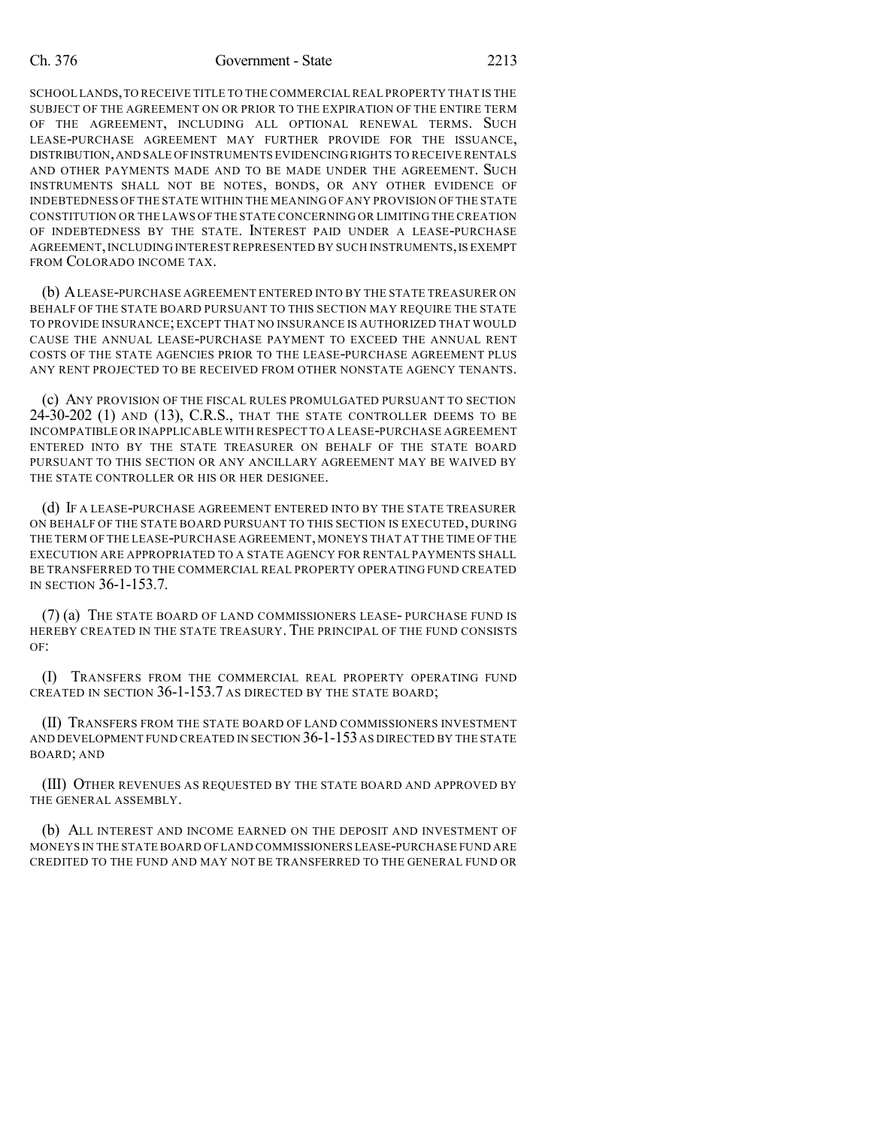#### Ch. 376 Government - State 2213

SCHOOL LANDS,TO RECEIVE TITLE TO THE COMMERCIAL REAL PROPERTY THAT IS THE SUBJECT OF THE AGREEMENT ON OR PRIOR TO THE EXPIRATION OF THE ENTIRE TERM OF THE AGREEMENT, INCLUDING ALL OPTIONAL RENEWAL TERMS. SUCH LEASE-PURCHASE AGREEMENT MAY FURTHER PROVIDE FOR THE ISSUANCE, DISTRIBUTION,AND SALE OFINSTRUMENTS EVIDENCING RIGHTS TO RECEIVE RENTALS AND OTHER PAYMENTS MADE AND TO BE MADE UNDER THE AGREEMENT. SUCH INSTRUMENTS SHALL NOT BE NOTES, BONDS, OR ANY OTHER EVIDENCE OF INDEBTEDNESS OF THE STATE WITHIN THE MEANING OF ANY PROVISION OF THE STATE CONSTITUTION OR THE LAWS OF THE STATE CONCERNING OR LIMITING THE CREATION OF INDEBTEDNESS BY THE STATE. INTEREST PAID UNDER A LEASE-PURCHASE AGREEMENT,INCLUDING INTERESTREPRESENTED BY SUCH INSTRUMENTS,IS EXEMPT FROM COLORADO INCOME TAX.

(b) ALEASE-PURCHASE AGREEMENT ENTERED INTO BY THE STATE TREASURER ON BEHALF OF THE STATE BOARD PURSUANT TO THIS SECTION MAY REQUIRE THE STATE TO PROVIDE INSURANCE; EXCEPT THAT NO INSURANCE IS AUTHORIZED THAT WOULD CAUSE THE ANNUAL LEASE-PURCHASE PAYMENT TO EXCEED THE ANNUAL RENT COSTS OF THE STATE AGENCIES PRIOR TO THE LEASE-PURCHASE AGREEMENT PLUS ANY RENT PROJECTED TO BE RECEIVED FROM OTHER NONSTATE AGENCY TENANTS.

(c) ANY PROVISION OF THE FISCAL RULES PROMULGATED PURSUANT TO SECTION 24-30-202 (1) AND (13), C.R.S., THAT THE STATE CONTROLLER DEEMS TO BE INCOMPATIBLE OR INAPPLICABLE WITH RESPECT TO A LEASE-PURCHASE AGREEMENT ENTERED INTO BY THE STATE TREASURER ON BEHALF OF THE STATE BOARD PURSUANT TO THIS SECTION OR ANY ANCILLARY AGREEMENT MAY BE WAIVED BY THE STATE CONTROLLER OR HIS OR HER DESIGNEE.

(d) IF A LEASE-PURCHASE AGREEMENT ENTERED INTO BY THE STATE TREASURER ON BEHALF OF THE STATE BOARD PURSUANT TO THIS SECTION IS EXECUTED, DURING THE TERM OF THE LEASE-PURCHASE AGREEMENT, MONEYS THAT AT THE TIME OF THE EXECUTION ARE APPROPRIATED TO A STATE AGENCY FOR RENTAL PAYMENTS SHALL BE TRANSFERRED TO THE COMMERCIAL REAL PROPERTY OPERATING FUND CREATED IN SECTION 36-1-153.7.

(7) (a) THE STATE BOARD OF LAND COMMISSIONERS LEASE- PURCHASE FUND IS HEREBY CREATED IN THE STATE TREASURY. THE PRINCIPAL OF THE FUND CONSISTS  $OF$ 

(I) TRANSFERS FROM THE COMMERCIAL REAL PROPERTY OPERATING FUND CREATED IN SECTION 36-1-153.7 AS DIRECTED BY THE STATE BOARD;

(II) TRANSFERS FROM THE STATE BOARD OF LAND COMMISSIONERS INVESTMENT AND DEVELOPMENT FUND CREATED IN SECTION 36-1-153AS DIRECTED BY THE STATE BOARD; AND

(III) OTHER REVENUES AS REQUESTED BY THE STATE BOARD AND APPROVED BY THE GENERAL ASSEMBLY.

(b) ALL INTEREST AND INCOME EARNED ON THE DEPOSIT AND INVESTMENT OF MONEYS IN THE STATE BOARD OF LAND COMMISSIONERS LEASE-PURCHASE FUND ARE CREDITED TO THE FUND AND MAY NOT BE TRANSFERRED TO THE GENERAL FUND OR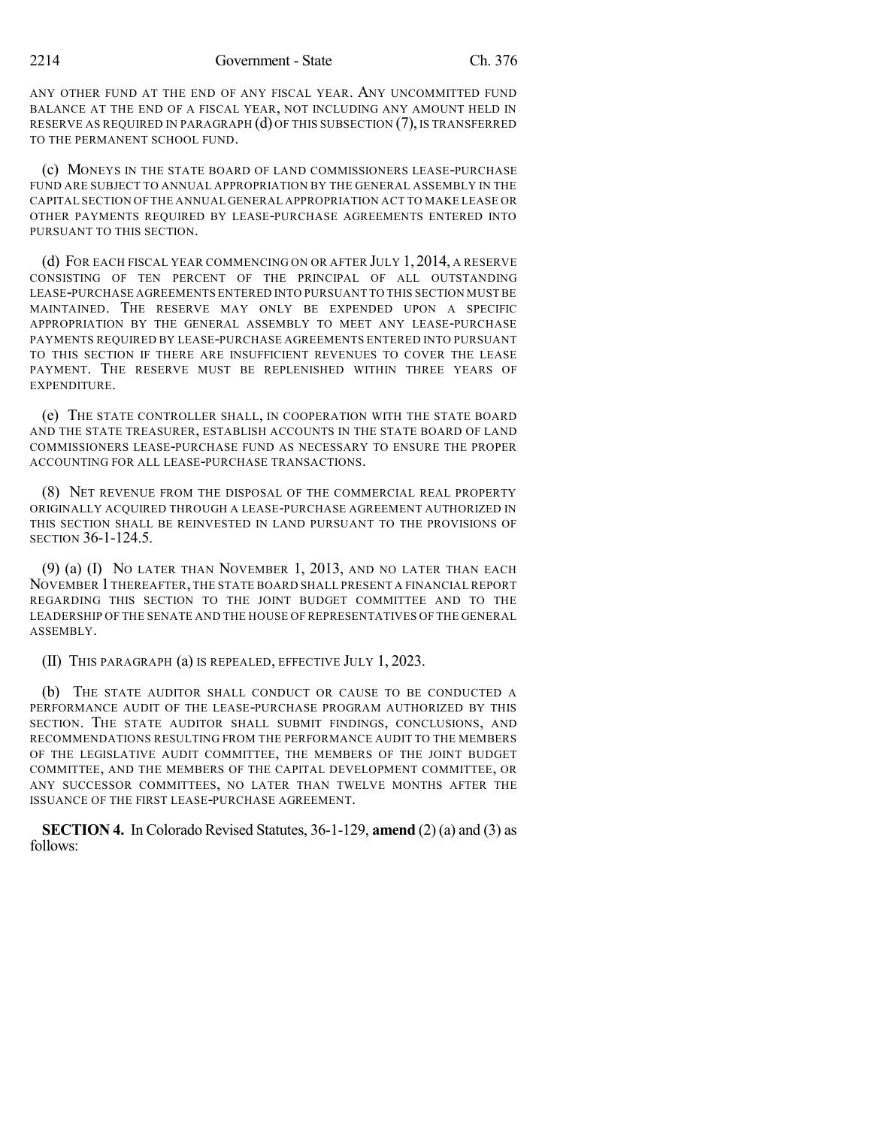ANY OTHER FUND AT THE END OF ANY FISCAL YEAR. ANY UNCOMMITTED FUND BALANCE AT THE END OF A FISCAL YEAR, NOT INCLUDING ANY AMOUNT HELD IN RESERVE AS REQUIRED IN PARAGRAPH (d) OF THIS SUBSECTION (7), IS TRANSFERRED TO THE PERMANENT SCHOOL FUND.

(c) MONEYS IN THE STATE BOARD OF LAND COMMISSIONERS LEASE-PURCHASE FUND ARE SUBJECT TO ANNUAL APPROPRIATION BY THE GENERAL ASSEMBLY IN THE CAPITAL SECTION OF THE ANNUAL GENERAL APPROPRIATION ACT TO MAKE LEASE OR OTHER PAYMENTS REQUIRED BY LEASE-PURCHASE AGREEMENTS ENTERED INTO PURSUANT TO THIS SECTION.

(d) FOR EACH FISCAL YEAR COMMENCING ON OR AFTER JULY 1, 2014, A RESERVE CONSISTING OF TEN PERCENT OF THE PRINCIPAL OF ALL OUTSTANDING LEASE-PURCHASE AGREEMENTS ENTERED INTO PURSUANT TO THIS SECTION MUSTBE MAINTAINED. THE RESERVE MAY ONLY BE EXPENDED UPON A SPECIFIC APPROPRIATION BY THE GENERAL ASSEMBLY TO MEET ANY LEASE-PURCHASE PAYMENTS REQUIRED BY LEASE-PURCHASE AGREEMENTS ENTERED INTO PURSUANT TO THIS SECTION IF THERE ARE INSUFFICIENT REVENUES TO COVER THE LEASE PAYMENT. THE RESERVE MUST BE REPLENISHED WITHIN THREE YEARS OF EXPENDITURE.

(e) THE STATE CONTROLLER SHALL, IN COOPERATION WITH THE STATE BOARD AND THE STATE TREASURER, ESTABLISH ACCOUNTS IN THE STATE BOARD OF LAND COMMISSIONERS LEASE-PURCHASE FUND AS NECESSARY TO ENSURE THE PROPER ACCOUNTING FOR ALL LEASE-PURCHASE TRANSACTIONS.

(8) NET REVENUE FROM THE DISPOSAL OF THE COMMERCIAL REAL PROPERTY ORIGINALLY ACQUIRED THROUGH A LEASE-PURCHASE AGREEMENT AUTHORIZED IN THIS SECTION SHALL BE REINVESTED IN LAND PURSUANT TO THE PROVISIONS OF SECTION 36-1-124.5.

(9) (a) (I) NO LATER THAN NOVEMBER 1, 2013, AND NO LATER THAN EACH NOVEMBER 1 THEREAFTER, THE STATE BOARD SHALL PRESENT A FINANCIAL REPORT REGARDING THIS SECTION TO THE JOINT BUDGET COMMITTEE AND TO THE LEADERSHIP OF THE SENATE AND THE HOUSE OF REPRESENTATIVES OF THE GENERAL ASSEMBLY.

(II) THIS PARAGRAPH (a) IS REPEALED, EFFECTIVE JULY 1, 2023.

(b) THE STATE AUDITOR SHALL CONDUCT OR CAUSE TO BE CONDUCTED A PERFORMANCE AUDIT OF THE LEASE-PURCHASE PROGRAM AUTHORIZED BY THIS SECTION. THE STATE AUDITOR SHALL SUBMIT FINDINGS, CONCLUSIONS, AND RECOMMENDATIONS RESULTING FROM THE PERFORMANCE AUDIT TO THE MEMBERS OF THE LEGISLATIVE AUDIT COMMITTEE, THE MEMBERS OF THE JOINT BUDGET COMMITTEE, AND THE MEMBERS OF THE CAPITAL DEVELOPMENT COMMITTEE, OR ANY SUCCESSOR COMMITTEES, NO LATER THAN TWELVE MONTHS AFTER THE ISSUANCE OF THE FIRST LEASE-PURCHASE AGREEMENT.

**SECTION 4.** In Colorado Revised Statutes, 36-1-129, **amend** (2) (a) and (3) as follows: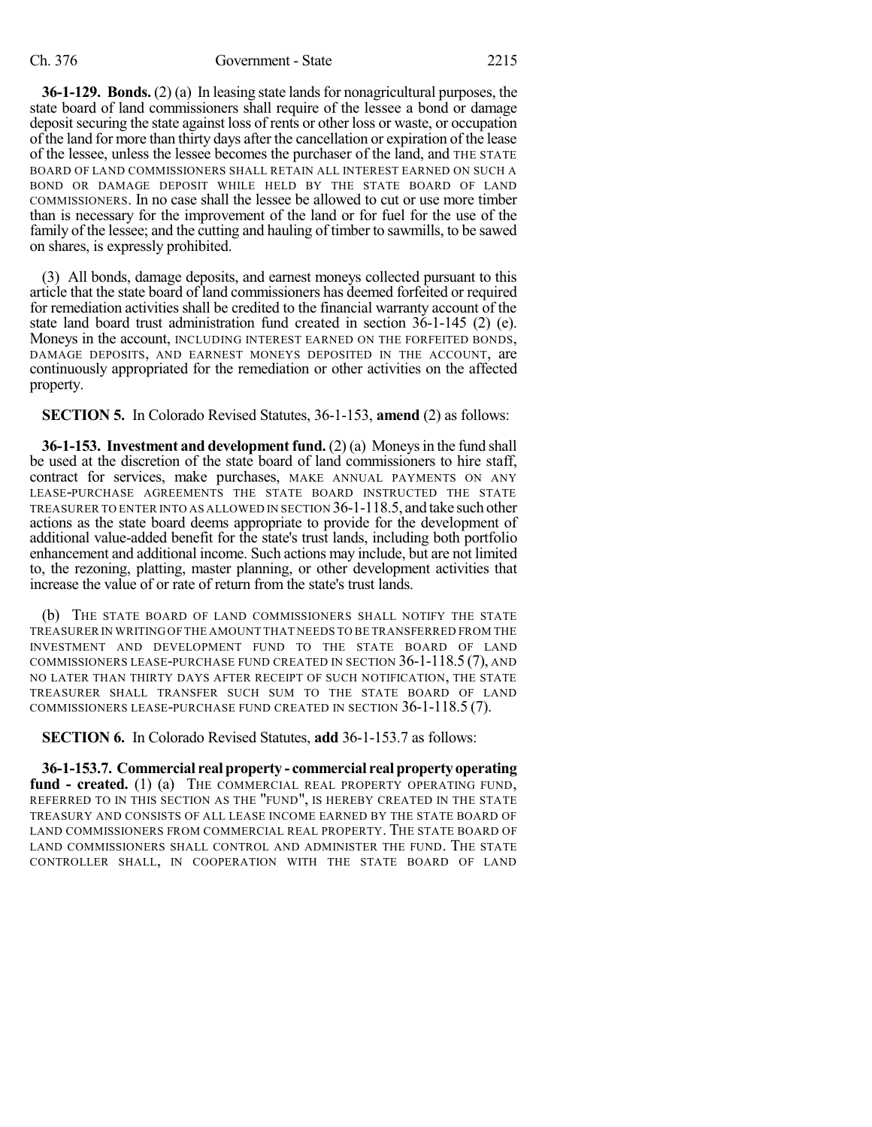**36-1-129. Bonds.** (2) (a) In leasing state lands for nonagricultural purposes, the state board of land commissioners shall require of the lessee a bond or damage deposit securing the state against loss of rents or other loss or waste, or occupation of the land for more than thirty days after the cancellation or expiration of the lease of the lessee, unless the lessee becomes the purchaser of the land, and THE STATE BOARD OF LAND COMMISSIONERS SHALL RETAIN ALL INTEREST EARNED ON SUCH A BOND OR DAMAGE DEPOSIT WHILE HELD BY THE STATE BOARD OF LAND COMMISSIONERS. In no case shall the lessee be allowed to cut or use more timber than is necessary for the improvement of the land or for fuel for the use of the family of the lessee; and the cutting and hauling of timber to sawmills, to be sawed on shares, is expressly prohibited.

(3) All bonds, damage deposits, and earnest moneys collected pursuant to this article that the state board of land commissioners has deemed forfeited or required for remediation activities shall be credited to the financial warranty account of the state land board trust administration fund created in section 36-1-145 (2) (e). Moneys in the account, INCLUDING INTEREST EARNED ON THE FORFEITED BONDS, DAMAGE DEPOSITS, AND EARNEST MONEYS DEPOSITED IN THE ACCOUNT, are continuously appropriated for the remediation or other activities on the affected property.

**SECTION 5.** In Colorado Revised Statutes, 36-1-153, **amend** (2) as follows:

**36-1-153. Investment and development fund.** (2) (a) Moneysin the fund shall be used at the discretion of the state board of land commissioners to hire staff, contract for services, make purchases, MAKE ANNUAL PAYMENTS ON ANY LEASE-PURCHASE AGREEMENTS THE STATE BOARD INSTRUCTED THE STATE TREASURER TO ENTER INTO AS ALLOWED IN SECTION 36-1-118.5, and take such other actions as the state board deems appropriate to provide for the development of additional value-added benefit for the state's trust lands, including both portfolio enhancement and additional income. Such actions may include, but are not limited to, the rezoning, platting, master planning, or other development activities that increase the value of or rate of return from the state's trust lands.

(b) THE STATE BOARD OF LAND COMMISSIONERS SHALL NOTIFY THE STATE TREASURER IN WRITING OF THE AMOUNT THAT NEEDS TO BE TRANSFERRED FROM THE INVESTMENT AND DEVELOPMENT FUND TO THE STATE BOARD OF LAND COMMISSIONERS LEASE-PURCHASE FUND CREATED IN SECTION 36-1-118.5 (7), AND NO LATER THAN THIRTY DAYS AFTER RECEIPT OF SUCH NOTIFICATION, THE STATE TREASURER SHALL TRANSFER SUCH SUM TO THE STATE BOARD OF LAND COMMISSIONERS LEASE-PURCHASE FUND CREATED IN SECTION 36-1-118.5 (7).

**SECTION 6.** In Colorado Revised Statutes, **add** 36-1-153.7 as follows:

**36-1-153.7. Commercial real property - commercial realproperty operating fund - created.** (1) (a) THE COMMERCIAL REAL PROPERTY OPERATING FUND, REFERRED TO IN THIS SECTION AS THE "FUND", IS HEREBY CREATED IN THE STATE TREASURY AND CONSISTS OF ALL LEASE INCOME EARNED BY THE STATE BOARD OF LAND COMMISSIONERS FROM COMMERCIAL REAL PROPERTY. THE STATE BOARD OF LAND COMMISSIONERS SHALL CONTROL AND ADMINISTER THE FUND. THE STATE CONTROLLER SHALL, IN COOPERATION WITH THE STATE BOARD OF LAND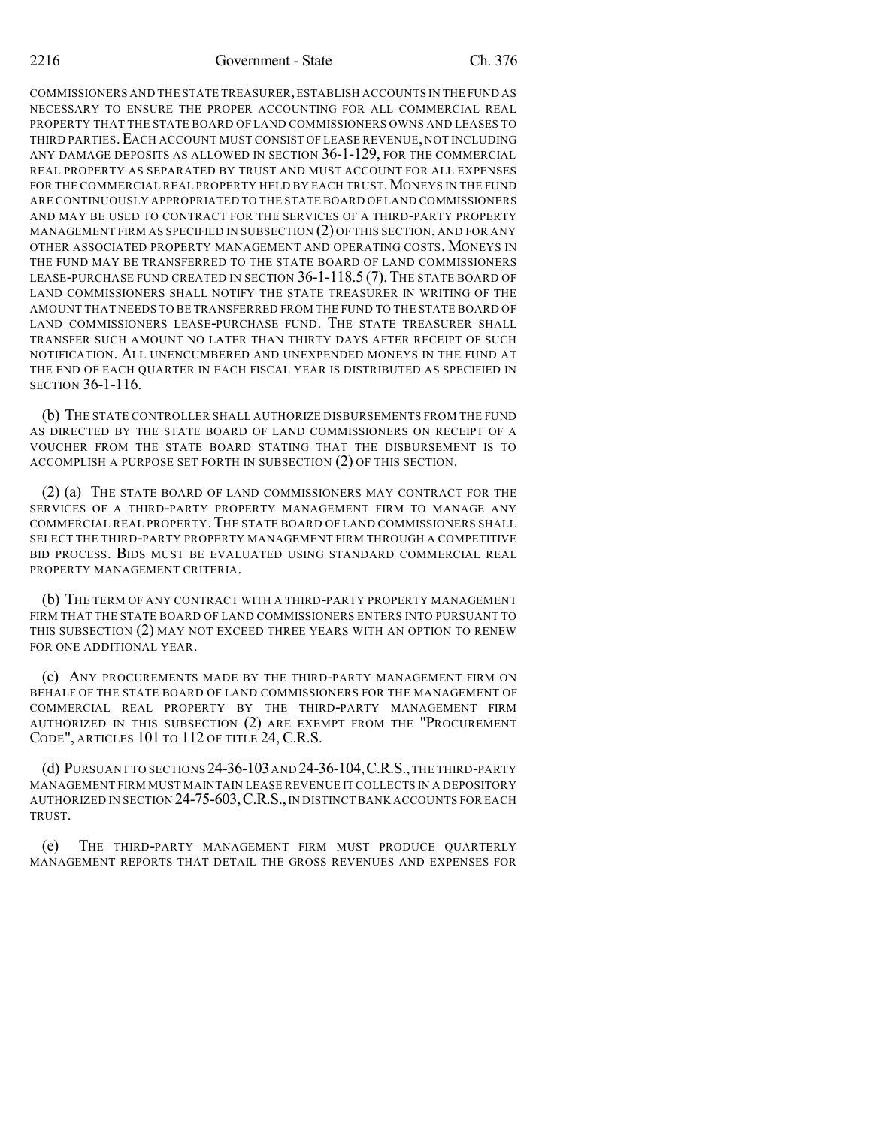COMMISSIONERS AND THE STATE TREASURER,ESTABLISH ACCOUNTS IN THE FUND AS NECESSARY TO ENSURE THE PROPER ACCOUNTING FOR ALL COMMERCIAL REAL PROPERTY THAT THE STATE BOARD OF LAND COMMISSIONERS OWNS AND LEASES TO THIRD PARTIES. EACH ACCOUNT MUST CONSIST OF LEASE REVENUE, NOT INCLUDING ANY DAMAGE DEPOSITS AS ALLOWED IN SECTION 36-1-129, FOR THE COMMERCIAL REAL PROPERTY AS SEPARATED BY TRUST AND MUST ACCOUNT FOR ALL EXPENSES FOR THE COMMERCIAL REAL PROPERTY HELD BY EACH TRUST. MONEYS IN THE FUND ARE CONTINUOUSLY APPROPRIATED TO THE STATE BOARD OF LAND COMMISSIONERS AND MAY BE USED TO CONTRACT FOR THE SERVICES OF A THIRD-PARTY PROPERTY MANAGEMENT FIRM AS SPECIFIED IN SUBSECTION (2) OF THIS SECTION, AND FOR ANY OTHER ASSOCIATED PROPERTY MANAGEMENT AND OPERATING COSTS. MONEYS IN THE FUND MAY BE TRANSFERRED TO THE STATE BOARD OF LAND COMMISSIONERS LEASE-PURCHASE FUND CREATED IN SECTION 36-1-118.5 (7). THE STATE BOARD OF LAND COMMISSIONERS SHALL NOTIFY THE STATE TREASURER IN WRITING OF THE AMOUNT THAT NEEDS TO BE TRANSFERRED FROM THE FUND TO THE STATE BOARD OF LAND COMMISSIONERS LEASE-PURCHASE FUND. THE STATE TREASURER SHALL TRANSFER SUCH AMOUNT NO LATER THAN THIRTY DAYS AFTER RECEIPT OF SUCH NOTIFICATION. ALL UNENCUMBERED AND UNEXPENDED MONEYS IN THE FUND AT THE END OF EACH QUARTER IN EACH FISCAL YEAR IS DISTRIBUTED AS SPECIFIED IN SECTION 36-1-116.

(b) THE STATE CONTROLLER SHALL AUTHORIZE DISBURSEMENTS FROM THE FUND AS DIRECTED BY THE STATE BOARD OF LAND COMMISSIONERS ON RECEIPT OF A VOUCHER FROM THE STATE BOARD STATING THAT THE DISBURSEMENT IS TO ACCOMPLISH A PURPOSE SET FORTH IN SUBSECTION (2) OF THIS SECTION.

(2) (a) THE STATE BOARD OF LAND COMMISSIONERS MAY CONTRACT FOR THE SERVICES OF A THIRD-PARTY PROPERTY MANAGEMENT FIRM TO MANAGE ANY COMMERCIAL REAL PROPERTY. THE STATE BOARD OF LAND COMMISSIONERS SHALL SELECT THE THIRD-PARTY PROPERTY MANAGEMENT FIRM THROUGH A COMPETITIVE BID PROCESS. BIDS MUST BE EVALUATED USING STANDARD COMMERCIAL REAL PROPERTY MANAGEMENT CRITERIA.

(b) THE TERM OF ANY CONTRACT WITH A THIRD-PARTY PROPERTY MANAGEMENT FIRM THAT THE STATE BOARD OF LAND COMMISSIONERS ENTERS INTO PURSUANT TO THIS SUBSECTION (2) MAY NOT EXCEED THREE YEARS WITH AN OPTION TO RENEW FOR ONE ADDITIONAL YEAR.

(c) ANY PROCUREMENTS MADE BY THE THIRD-PARTY MANAGEMENT FIRM ON BEHALF OF THE STATE BOARD OF LAND COMMISSIONERS FOR THE MANAGEMENT OF COMMERCIAL REAL PROPERTY BY THE THIRD-PARTY MANAGEMENT FIRM AUTHORIZED IN THIS SUBSECTION (2) ARE EXEMPT FROM THE "PROCUREMENT CODE", ARTICLES 101 TO 112 OF TITLE 24, C.R.S.

(d) PURSUANT TO SECTIONS 24-36-103AND 24-36-104,C.R.S.,THE THIRD-PARTY MANAGEMENT FIRM MUST MAINTAIN LEASE REVENUE IT COLLECTS IN A DEPOSITORY AUTHORIZED IN SECTION 24-75-603, C.R.S., IN DISTINCT BANK ACCOUNTS FOR EACH TRUST.

(e) THE THIRD-PARTY MANAGEMENT FIRM MUST PRODUCE QUARTERLY MANAGEMENT REPORTS THAT DETAIL THE GROSS REVENUES AND EXPENSES FOR